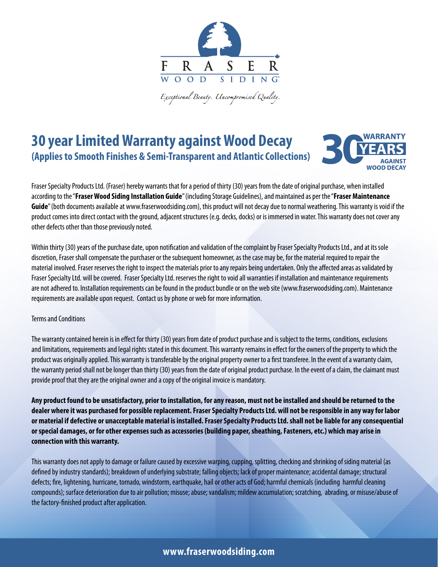

.<br>Exceptional Beauty. Uncompromised Quality.

## **30 year Limited Warranty against Wood Decay (Applies to Smooth Finishes & Semi-Transparent and Atlantic Collections)**



Fraser Specialty Products Ltd. (Fraser) hereby warrants that for a period of thirty (30) years from the date of original purchase, when installed according to the "**Fraser Wood Siding Installation Guide**" (including Storage Guidelines), and maintained as per the "**Fraser Maintenance Guide**" (both documents available at www.fraserwoodsiding.com), this product will not decay due to normal weathering. This warranty is void if the product comes into direct contact with the ground, adjacent structures (e.g. decks, docks) or is immersed in water. This warranty does not cover any other defects other than those previously noted.

Within thirty (30) years of the purchase date, upon notification and validation of the complaint by Fraser Specialty Products Ltd., and at its sole discretion, Fraser shall compensate the purchaser or the subsequent homeowner, as the case may be, for the material required to repair the material involved. Fraser reserves the right to inspect the materials prior to any repairs being undertaken. Only the affected areas as validated by Fraser Specialty Ltd. will be covered. Fraser Specialty Ltd. reserves the right to void all warranties if installation and maintenance requirements are not adhered to. Installation requirements can be found in the product bundle or on the web site (www.fraserwoodsiding.com). Maintenance requirements are available upon request. Contact us by phone or web for more information.

## Terms and Conditions

The warranty contained herein is in effect for thirty (30) years from date of product purchase and is subject to the terms, conditions, exclusions and limitations, requirements and legal rights stated in this document. This warranty remains in effect for the owners of the property to which the product was originally applied. This warranty is transferable by the original property owner to a first transferee. In the event of a warranty claim, the warranty period shall not be longer than thirty (30) years from the date of original product purchase. In the event of a claim, the claimant must provide proof that they are the original owner and a copy of the original invoice is mandatory.

**Any product found to be unsatisfactory, prior to installation, for any reason, must not be installed and should be returned to the dealer where it was purchased for possible replacement. Fraser Specialty Products Ltd. will not be responsible in any way for labor or material if defective or unacceptable material is installed. Fraser Specialty Products Ltd. shall not be liable for any consequential or special damages, or for other expenses such as accessories (building paper, sheathing, Fasteners, etc.) which may arise in connection with this warranty.** 

This warranty does not apply to damage or failure caused by excessive warping, cupping, splitting, checking and shrinking of siding material (as defined by industry standards); breakdown of underlying substrate; falling objects; lack of proper maintenance; accidental damage; structural defects; fire, lightening, hurricane, tornado, windstorm, earthquake, hail or other acts of God; harmful chemicals (including harmful cleaning compounds); surface deterioration due to air pollution; misuse; abuse; vandalism; mildew accumulation; scratching, abrading, or misuse/abuse of the factory-finished product after application.

## **www.fraserwoodsiding.com**